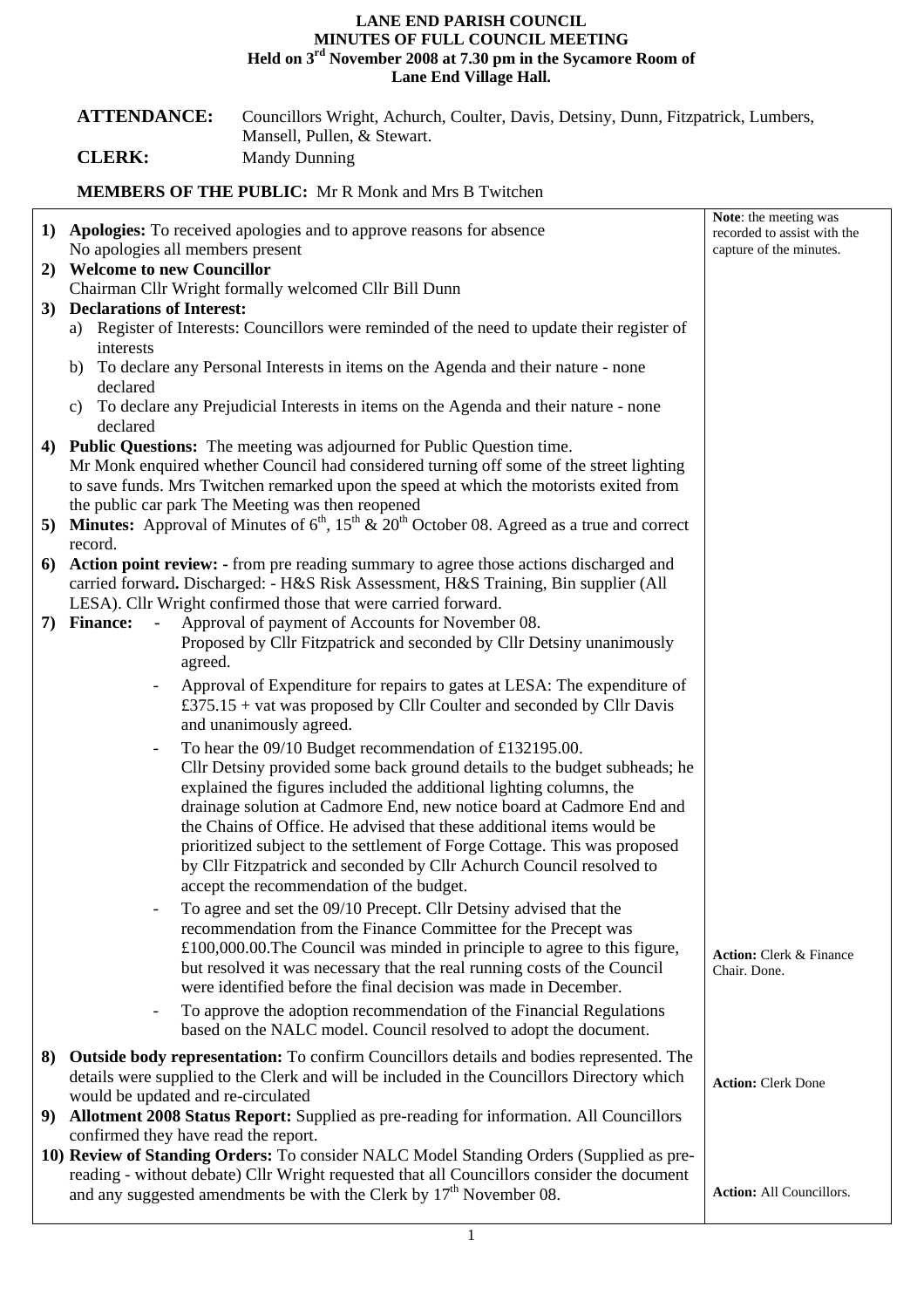## **LANE END PARISH COUNCIL MINUTES OF FULL COUNCIL MEETING Held on 3rd November 2008 at 7.30 pm in the Sycamore Room of Lane End Village Hall.**

|                                                                                                                                | <b>ATTENDANCE:</b><br><b>CLERK:</b>                                                                                                                                                                    | Councillors Wright, Achurch, Coulter, Davis, Detsiny, Dunn, Fitzpatrick, Lumbers,<br>Mansell, Pullen, & Stewart.<br><b>Mandy Dunning</b>                                                                                    |                                                |  |  |
|--------------------------------------------------------------------------------------------------------------------------------|--------------------------------------------------------------------------------------------------------------------------------------------------------------------------------------------------------|-----------------------------------------------------------------------------------------------------------------------------------------------------------------------------------------------------------------------------|------------------------------------------------|--|--|
|                                                                                                                                | <b>MEMBERS OF THE PUBLIC:</b> Mr R Monk and Mrs B Twitchen                                                                                                                                             |                                                                                                                                                                                                                             |                                                |  |  |
| Note: the meeting was<br>1) Apologies: To received apologies and to approve reasons for absence<br>recorded to assist with the |                                                                                                                                                                                                        |                                                                                                                                                                                                                             |                                                |  |  |
|                                                                                                                                | No apologies all members present<br>capture of the minutes.<br>2) Welcome to new Councillor                                                                                                            |                                                                                                                                                                                                                             |                                                |  |  |
|                                                                                                                                | Chairman Cllr Wright formally welcomed Cllr Bill Dunn                                                                                                                                                  |                                                                                                                                                                                                                             |                                                |  |  |
|                                                                                                                                | 3) Declarations of Interest:<br>a) Register of Interests: Councillors were reminded of the need to update their register of<br>interests                                                               |                                                                                                                                                                                                                             |                                                |  |  |
|                                                                                                                                | b) To declare any Personal Interests in items on the Agenda and their nature - none<br>declared                                                                                                        |                                                                                                                                                                                                                             |                                                |  |  |
|                                                                                                                                | To declare any Prejudicial Interests in items on the Agenda and their nature - none<br>C)<br>declared                                                                                                  |                                                                                                                                                                                                                             |                                                |  |  |
|                                                                                                                                | 4) Public Questions: The meeting was adjourned for Public Question time.                                                                                                                               |                                                                                                                                                                                                                             |                                                |  |  |
|                                                                                                                                | Mr Monk enquired whether Council had considered turning off some of the street lighting                                                                                                                |                                                                                                                                                                                                                             |                                                |  |  |
|                                                                                                                                | to save funds. Mrs Twitchen remarked upon the speed at which the motorists exited from<br>the public car park The Meeting was then reopened                                                            |                                                                                                                                                                                                                             |                                                |  |  |
|                                                                                                                                | 5) Minutes: Approval of Minutes of $6th$ , $15th$ & $20th$ October 08. Agreed as a true and correct                                                                                                    |                                                                                                                                                                                                                             |                                                |  |  |
|                                                                                                                                | record.<br>6) Action point review: - from pre reading summary to agree those actions discharged and                                                                                                    |                                                                                                                                                                                                                             |                                                |  |  |
|                                                                                                                                | carried forward. Discharged: - H&S Risk Assessment, H&S Training, Bin supplier (All                                                                                                                    |                                                                                                                                                                                                                             |                                                |  |  |
|                                                                                                                                | LESA). Cllr Wright confirmed those that were carried forward.                                                                                                                                          |                                                                                                                                                                                                                             |                                                |  |  |
|                                                                                                                                | 7) Finance:<br>$\blacksquare$                                                                                                                                                                          | Approval of payment of Accounts for November 08.                                                                                                                                                                            |                                                |  |  |
|                                                                                                                                | agreed.                                                                                                                                                                                                | Proposed by Cllr Fitzpatrick and seconded by Cllr Detsiny unanimously                                                                                                                                                       |                                                |  |  |
|                                                                                                                                |                                                                                                                                                                                                        | Approval of Expenditure for repairs to gates at LESA: The expenditure of                                                                                                                                                    |                                                |  |  |
|                                                                                                                                |                                                                                                                                                                                                        | £375.15 + vat was proposed by Cllr Coulter and seconded by Cllr Davis<br>and unanimously agreed.                                                                                                                            |                                                |  |  |
|                                                                                                                                | $\overline{\phantom{a}}$                                                                                                                                                                               | To hear the 09/10 Budget recommendation of £132195.00.                                                                                                                                                                      |                                                |  |  |
|                                                                                                                                |                                                                                                                                                                                                        | Cllr Detsiny provided some back ground details to the budget subheads; he                                                                                                                                                   |                                                |  |  |
|                                                                                                                                |                                                                                                                                                                                                        | explained the figures included the additional lighting columns, the<br>drainage solution at Cadmore End, new notice board at Cadmore End and                                                                                |                                                |  |  |
|                                                                                                                                |                                                                                                                                                                                                        | the Chains of Office. He advised that these additional items would be                                                                                                                                                       |                                                |  |  |
|                                                                                                                                |                                                                                                                                                                                                        | prioritized subject to the settlement of Forge Cottage. This was proposed                                                                                                                                                   |                                                |  |  |
|                                                                                                                                |                                                                                                                                                                                                        | by Cllr Fitzpatrick and seconded by Cllr Achurch Council resolved to<br>accept the recommendation of the budget.                                                                                                            |                                                |  |  |
|                                                                                                                                |                                                                                                                                                                                                        | To agree and set the 09/10 Precept. Cllr Detsiny advised that the                                                                                                                                                           |                                                |  |  |
|                                                                                                                                |                                                                                                                                                                                                        | recommendation from the Finance Committee for the Precept was                                                                                                                                                               |                                                |  |  |
|                                                                                                                                |                                                                                                                                                                                                        | $£100,000.00$ . The Council was minded in principle to agree to this figure,<br>but resolved it was necessary that the real running costs of the Council<br>were identified before the final decision was made in December. | <b>Action:</b> Clerk & Finance<br>Chair. Done. |  |  |
|                                                                                                                                |                                                                                                                                                                                                        | To approve the adoption recommendation of the Financial Regulations<br>based on the NALC model. Council resolved to adopt the document.                                                                                     |                                                |  |  |
|                                                                                                                                |                                                                                                                                                                                                        | 8) Outside body representation: To confirm Councillors details and bodies represented. The                                                                                                                                  |                                                |  |  |
|                                                                                                                                | details were supplied to the Clerk and will be included in the Councillors Directory which<br><b>Action: Clerk Done</b>                                                                                |                                                                                                                                                                                                                             |                                                |  |  |
|                                                                                                                                | would be updated and re-circulated<br>9) Allotment 2008 Status Report: Supplied as pre-reading for information. All Councillors                                                                        |                                                                                                                                                                                                                             |                                                |  |  |
|                                                                                                                                | confirmed they have read the report.                                                                                                                                                                   |                                                                                                                                                                                                                             |                                                |  |  |
|                                                                                                                                | 10) Review of Standing Orders: To consider NALC Model Standing Orders (Supplied as pre-                                                                                                                |                                                                                                                                                                                                                             |                                                |  |  |
|                                                                                                                                | reading - without debate) Cllr Wright requested that all Councillors consider the document<br>and any suggested amendments be with the Clerk by $17th$ November 08.<br><b>Action:</b> All Councillors. |                                                                                                                                                                                                                             |                                                |  |  |
|                                                                                                                                |                                                                                                                                                                                                        |                                                                                                                                                                                                                             |                                                |  |  |